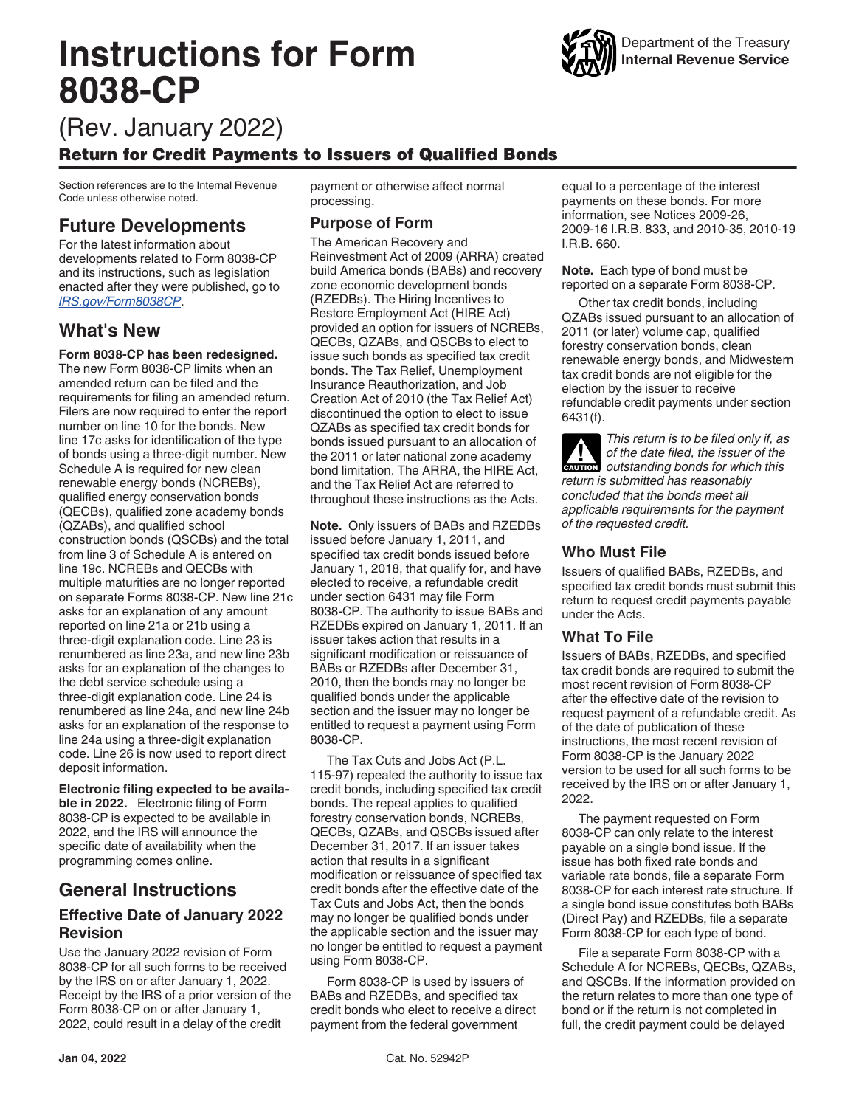# **Instructions for Form 8038-CP**



## (Rev. January 2022)

### Return for Credit Payments to Issuers of Qualified Bonds

Section references are to the Internal Revenue Code unless otherwise noted.

### **Future Developments**

For the latest information about developments related to Form 8038-CP and its instructions, such as legislation enacted after they were published, go to *[IRS.gov/Form8038CP](https://www.irs.gov/form8038CP)*.

### **What's New**

#### **Form 8038-CP has been redesigned.**

The new Form 8038-CP limits when an amended return can be filed and the requirements for filing an amended return. Filers are now required to enter the report number on line 10 for the bonds. New line 17c asks for identification of the type of bonds using a three-digit number. New Schedule A is required for new clean renewable energy bonds (NCREBs), qualified energy conservation bonds (QECBs), qualified zone academy bonds (QZABs), and qualified school construction bonds (QSCBs) and the total from line 3 of Schedule A is entered on line 19c. NCREBs and QECBs with multiple maturities are no longer reported on separate Forms 8038-CP. New line 21c asks for an explanation of any amount reported on line 21a or 21b using a three-digit explanation code. Line 23 is renumbered as line 23a, and new line 23b asks for an explanation of the changes to the debt service schedule using a three-digit explanation code. Line 24 is renumbered as line 24a, and new line 24b asks for an explanation of the response to line 24a using a three-digit explanation code. Line 26 is now used to report direct deposit information.

**Electronic filing expected to be available in 2022.** Electronic filing of Form 8038-CP is expected to be available in 2022, and the IRS will announce the specific date of availability when the programming comes online.

### **General Instructions**

### **Effective Date of January 2022 Revision**

Use the January 2022 revision of Form 8038-CP for all such forms to be received by the IRS on or after January 1, 2022. Receipt by the IRS of a prior version of the Form 8038-CP on or after January 1, 2022, could result in a delay of the credit

payment or otherwise affect normal processing.

### **Purpose of Form**

The American Recovery and Reinvestment Act of 2009 (ARRA) created build America bonds (BABs) and recovery zone economic development bonds (RZEDBs). The Hiring Incentives to Restore Employment Act (HIRE Act) provided an option for issuers of NCREBs, QECBs, QZABs, and QSCBs to elect to issue such bonds as specified tax credit bonds. The Tax Relief, Unemployment Insurance Reauthorization, and Job Creation Act of 2010 (the Tax Relief Act) discontinued the option to elect to issue QZABs as specified tax credit bonds for bonds issued pursuant to an allocation of the 2011 or later national zone academy bond limitation. The ARRA, the HIRE Act, and the Tax Relief Act are referred to throughout these instructions as the Acts.

**Note.** Only issuers of BABs and RZEDBs issued before January 1, 2011, and specified tax credit bonds issued before January 1, 2018, that qualify for, and have elected to receive, a refundable credit under section 6431 may file Form 8038-CP. The authority to issue BABs and RZEDBs expired on January 1, 2011. If an issuer takes action that results in a significant modification or reissuance of BABs or RZEDBs after December 31, 2010, then the bonds may no longer be qualified bonds under the applicable section and the issuer may no longer be entitled to request a payment using Form 8038-CP.

The Tax Cuts and Jobs Act (P.L. 115-97) repealed the authority to issue tax credit bonds, including specified tax credit bonds. The repeal applies to qualified forestry conservation bonds, NCREBs, QECBs, QZABs, and QSCBs issued after December 31, 2017. If an issuer takes action that results in a significant modification or reissuance of specified tax credit bonds after the effective date of the Tax Cuts and Jobs Act, then the bonds may no longer be qualified bonds under the applicable section and the issuer may no longer be entitled to request a payment using Form 8038-CP.

Form 8038-CP is used by issuers of BABs and RZEDBs, and specified tax credit bonds who elect to receive a direct payment from the federal government

equal to a percentage of the interest payments on these bonds. For more information, see Notices 2009-26, 2009-16 I.R.B. 833, and 2010-35, 2010-19 I.R.B. 660.

**Note.** Each type of bond must be reported on a separate Form 8038-CP.

Other tax credit bonds, including QZABs issued pursuant to an allocation of 2011 (or later) volume cap, qualified forestry conservation bonds, clean renewable energy bonds, and Midwestern tax credit bonds are not eligible for the election by the issuer to receive refundable credit payments under section 6431(f).

*This return is to be filed only if, as of the date filed, the issuer of the*  of the date filed, the issuer of the **caution** outstanding bonds for which this *return is submitted has reasonably concluded that the bonds meet all applicable requirements for the payment of the requested credit.*

### **Who Must File**

Issuers of qualified BABs, RZEDBs, and specified tax credit bonds must submit this return to request credit payments payable under the Acts.

### **What To File**

Issuers of BABs, RZEDBs, and specified tax credit bonds are required to submit the most recent revision of Form 8038-CP after the effective date of the revision to request payment of a refundable credit. As of the date of publication of these instructions, the most recent revision of Form 8038-CP is the January 2022 version to be used for all such forms to be received by the IRS on or after January 1, 2022.

The payment requested on Form 8038-CP can only relate to the interest payable on a single bond issue. If the issue has both fixed rate bonds and variable rate bonds, file a separate Form 8038-CP for each interest rate structure. If a single bond issue constitutes both BABs (Direct Pay) and RZEDBs, file a separate Form 8038-CP for each type of bond.

File a separate Form 8038-CP with a Schedule A for NCREBs, QECBs, QZABs, and QSCBs. If the information provided on the return relates to more than one type of bond or if the return is not completed in full, the credit payment could be delayed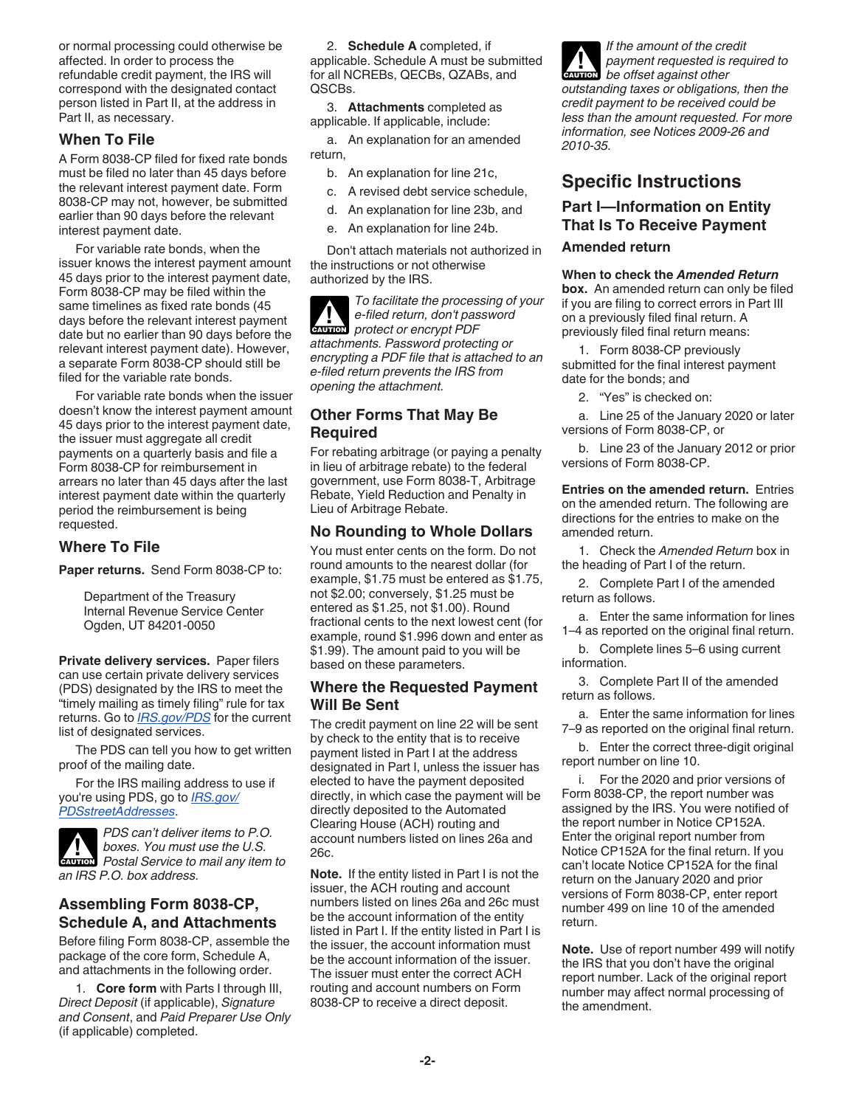or normal processing could otherwise be affected. In order to process the refundable credit payment, the IRS will correspond with the designated contact person listed in Part II, at the address in Part II, as necessary.

#### **When To File**

A Form 8038-CP filed for fixed rate bonds must be filed no later than 45 days before the relevant interest payment date. Form 8038-CP may not, however, be submitted earlier than 90 days before the relevant interest payment date.

For variable rate bonds, when the issuer knows the interest payment amount 45 days prior to the interest payment date, Form 8038-CP may be filed within the same timelines as fixed rate bonds (45 days before the relevant interest payment date but no earlier than 90 days before the relevant interest payment date). However, a separate Form 8038-CP should still be filed for the variable rate bonds.

For variable rate bonds when the issuer doesn't know the interest payment amount 45 days prior to the interest payment date, the issuer must aggregate all credit payments on a quarterly basis and file a Form 8038-CP for reimbursement in arrears no later than 45 days after the last interest payment date within the quarterly period the reimbursement is being requested.

### **Where To File**

**Paper returns.** Send Form 8038-CP to:

Department of the Treasury Internal Revenue Service Center Ogden, UT 84201-0050

**Private delivery services.** Paper filers can use certain private delivery services (PDS) designated by the IRS to meet the "timely mailing as timely filing" rule for tax returns. Go to *[IRS.gov/PDS](https://www.irs.gov/uac/private-delivery-services-pds)* for the current list of designated services.

The PDS can tell you how to get written proof of the mailing date.

For the IRS mailing address to use if you're using PDS, go to *[IRS.gov/](https://www.irs.gov/filing/submission-processing-center-street-addresses-for-private-delivery-service-pds) [PDSstreetAddresses](https://www.irs.gov/filing/submission-processing-center-street-addresses-for-private-delivery-service-pds)*.

*PDS can't deliver items to P.O. boxes. You must use the U.S.*  **Postal Service to mail any item to** *an IRS P.O. box address.*

### **Assembling Form 8038-CP, Schedule A, and Attachments**

Before filing Form 8038-CP, assemble the package of the core form, Schedule A, and attachments in the following order.

1. **Core form** with Parts I through III, *Direct Deposit* (if applicable), *Signature and Consent*, and *Paid Preparer Use Only*  (if applicable) completed.

2. **Schedule A** completed, if applicable. Schedule A must be submitted for all NCREBs, QECBs, QZABs, and QSCBs.

3. **Attachments** completed as applicable. If applicable, include:

a. An explanation for an amended return,

- b. An explanation for line 21c,
- c. A revised debt service schedule,
- d. An explanation for line 23b, and
- e. An explanation for line 24b.

Don't attach materials not authorized in the instructions or not otherwise authorized by the IRS.

*To facilitate the processing of your e-filed return, don't password*  **Protect or encrypt PDF** *attachments. Password protecting or encrypting a PDF file that is attached to an e-filed return prevents the IRS from opening the attachment.*

### **Other Forms That May Be Required**

For rebating arbitrage (or paying a penalty in lieu of arbitrage rebate) to the federal government, use Form 8038-T, Arbitrage Rebate, Yield Reduction and Penalty in Lieu of Arbitrage Rebate.

### **No Rounding to Whole Dollars**

You must enter cents on the form. Do not round amounts to the nearest dollar (for example, \$1.75 must be entered as \$1.75, not \$2.00; conversely, \$1.25 must be entered as \$1.25, not \$1.00). Round fractional cents to the next lowest cent (for example, round \$1.996 down and enter as \$1.99). The amount paid to you will be based on these parameters.

### **Where the Requested Payment Will Be Sent**

The credit payment on line 22 will be sent by check to the entity that is to receive payment listed in Part I at the address designated in Part I, unless the issuer has elected to have the payment deposited directly, in which case the payment will be directly deposited to the Automated Clearing House (ACH) routing and account numbers listed on lines 26a and 26c.

**Note.** If the entity listed in Part I is not the issuer, the ACH routing and account numbers listed on lines 26a and 26c must be the account information of the entity listed in Part I. If the entity listed in Part I is the issuer, the account information must be the account information of the issuer. The issuer must enter the correct ACH routing and account numbers on Form 8038-CP to receive a direct deposit.

*If the amount of the credit payment requested is required to be offset against other outstanding taxes or obligations, then the credit payment to be received could be less than the amount requested. For more information, see Notices 2009-26 and 2010-35.*

### **Specific Instructions**

### **Part I—Information on Entity That Is To Receive Payment**

#### **Amended return**

**When to check the** *Amended Return*  **box.** An amended return can only be filed if you are filing to correct errors in Part III on a previously filed final return. A

previously filed final return means:

1. Form 8038-CP previously submitted for the final interest payment date for the bonds; and

2. "Yes" is checked on:

a. Line 25 of the January 2020 or later versions of Form 8038-CP, or

b. Line 23 of the January 2012 or prior versions of Form 8038-CP.

**Entries on the amended return.** Entries on the amended return. The following are directions for the entries to make on the amended return.

1. Check the *Amended Return* box in the heading of Part I of the return.

2. Complete Part I of the amended return as follows.

a. Enter the same information for lines 1–4 as reported on the original final return.

b. Complete lines 5–6 using current information.

3. Complete Part II of the amended return as follows.

a. Enter the same information for lines 7–9 as reported on the original final return.

b. Enter the correct three-digit original report number on line 10.

i. For the 2020 and prior versions of Form 8038-CP, the report number was assigned by the IRS. You were notified of the report number in Notice CP152A. Enter the original report number from Notice CP152A for the final return. If you can't locate Notice CP152A for the final return on the January 2020 and prior versions of Form 8038-CP, enter report number 499 on line 10 of the amended return.

**Note.** Use of report number 499 will notify the IRS that you don't have the original report number. Lack of the original report number may affect normal processing of the amendment.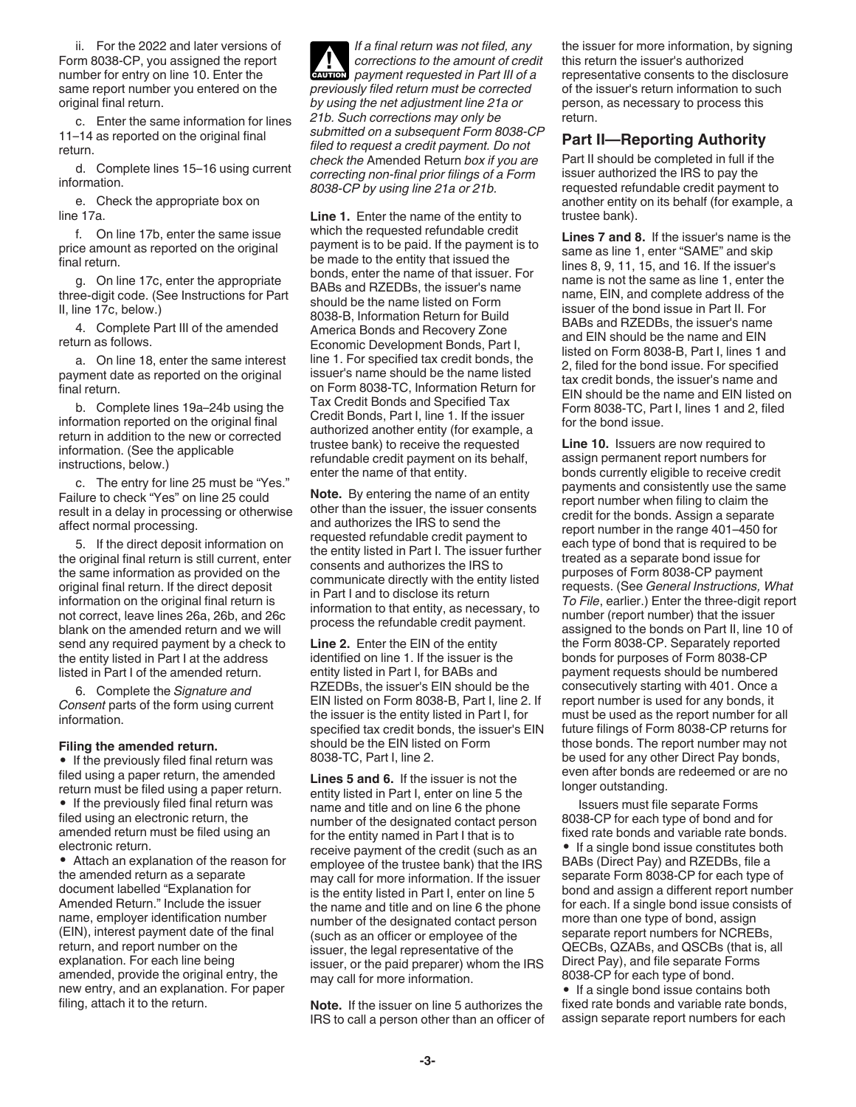ii. For the 2022 and later versions of Form 8038-CP, you assigned the report number for entry on line 10. Enter the same report number you entered on the original final return.

c. Enter the same information for lines 11–14 as reported on the original final return.

d. Complete lines 15–16 using current information.

e. Check the appropriate box on line 17a.

f. On line 17b, enter the same issue price amount as reported on the original final return.

g. On line 17c, enter the appropriate three-digit code. (See Instructions for Part II, line 17c, below.)

4. Complete Part III of the amended return as follows.

a. On line 18, enter the same interest payment date as reported on the original final return.

b. Complete lines 19a–24b using the information reported on the original final return in addition to the new or corrected information. (See the applicable instructions, below.)

c. The entry for line 25 must be "Yes." Failure to check "Yes" on line 25 could result in a delay in processing or otherwise affect normal processing.

5. If the direct deposit information on the original final return is still current, enter the same information as provided on the original final return. If the direct deposit information on the original final return is not correct, leave lines 26a, 26b, and 26c blank on the amended return and we will send any required payment by a check to the entity listed in Part I at the address listed in Part I of the amended return.

6. Complete the *Signature and Consent* parts of the form using current information.

#### **Filing the amended return.**

• If the previously filed final return was filed using a paper return, the amended return must be filed using a paper return.

• If the previously filed final return was filed using an electronic return, the amended return must be filed using an electronic return.

• Attach an explanation of the reason for the amended return as a separate document labelled "Explanation for Amended Return." Include the issuer name, employer identification number (EIN), interest payment date of the final return, and report number on the explanation. For each line being amended, provide the original entry, the new entry, and an explanation. For paper filing, attach it to the return.

*If a final return was not filed, any corrections to the amount of credit payment requested in Part III of a previously filed return must be corrected by using the net adjustment line 21a or 21b. Such corrections may only be submitted on a subsequent Form 8038-CP filed to request a credit payment. Do not check the* Amended Return *box if you are correcting non-final prior filings of a Form 8038-CP by using line 21a or 21b.* **CAUTION !**

**Line 1.** Enter the name of the entity to which the requested refundable credit payment is to be paid. If the payment is to be made to the entity that issued the bonds, enter the name of that issuer. For BABs and RZEDBs, the issuer's name should be the name listed on Form 8038-B, Information Return for Build America Bonds and Recovery Zone Economic Development Bonds, Part I, line 1. For specified tax credit bonds, the issuer's name should be the name listed on Form 8038-TC, Information Return for Tax Credit Bonds and Specified Tax Credit Bonds, Part I, line 1. If the issuer authorized another entity (for example, a trustee bank) to receive the requested refundable credit payment on its behalf, enter the name of that entity.

**Note.** By entering the name of an entity other than the issuer, the issuer consents and authorizes the IRS to send the requested refundable credit payment to the entity listed in Part I. The issuer further consents and authorizes the IRS to communicate directly with the entity listed in Part I and to disclose its return information to that entity, as necessary, to process the refundable credit payment.

**Line 2.** Enter the EIN of the entity identified on line 1. If the issuer is the entity listed in Part I, for BABs and RZEDBs, the issuer's EIN should be the EIN listed on Form 8038-B, Part I, line 2. If the issuer is the entity listed in Part I, for specified tax credit bonds, the issuer's EIN should be the EIN listed on Form 8038-TC, Part I, line 2.

**Lines 5 and 6.** If the issuer is not the entity listed in Part I, enter on line 5 the name and title and on line 6 the phone number of the designated contact person for the entity named in Part I that is to receive payment of the credit (such as an employee of the trustee bank) that the IRS may call for more information. If the issuer is the entity listed in Part I, enter on line 5 the name and title and on line 6 the phone number of the designated contact person (such as an officer or employee of the issuer, the legal representative of the issuer, or the paid preparer) whom the IRS may call for more information.

**Note.** If the issuer on line 5 authorizes the IRS to call a person other than an officer of the issuer for more information, by signing this return the issuer's authorized representative consents to the disclosure of the issuer's return information to such person, as necessary to process this return.

#### **Part II—Reporting Authority**

Part II should be completed in full if the issuer authorized the IRS to pay the requested refundable credit payment to another entity on its behalf (for example, a trustee bank).

**Lines 7 and 8.** If the issuer's name is the same as line 1, enter "SAME" and skip lines 8, 9, 11, 15, and 16. If the issuer's name is not the same as line 1, enter the name, EIN, and complete address of the issuer of the bond issue in Part II. For BABs and RZEDBs, the issuer's name and EIN should be the name and EIN listed on Form 8038-B, Part I, lines 1 and 2, filed for the bond issue. For specified tax credit bonds, the issuer's name and EIN should be the name and EIN listed on Form 8038-TC, Part I, lines 1 and 2, filed for the bond issue.

**Line 10.** Issuers are now required to assign permanent report numbers for bonds currently eligible to receive credit payments and consistently use the same report number when filing to claim the credit for the bonds. Assign a separate report number in the range 401–450 for each type of bond that is required to be treated as a separate bond issue for purposes of Form 8038-CP payment requests. (See *General Instructions, What To File*, earlier.) Enter the three-digit report number (report number) that the issuer assigned to the bonds on Part II, line 10 of the Form 8038-CP. Separately reported bonds for purposes of Form 8038-CP payment requests should be numbered consecutively starting with 401. Once a report number is used for any bonds, it must be used as the report number for all future filings of Form 8038-CP returns for those bonds. The report number may not be used for any other Direct Pay bonds, even after bonds are redeemed or are no longer outstanding.

Issuers must file separate Forms 8038-CP for each type of bond and for fixed rate bonds and variable rate bonds. • If a single bond issue constitutes both BABs (Direct Pay) and RZEDBs, file a separate Form 8038-CP for each type of bond and assign a different report number for each. If a single bond issue consists of more than one type of bond, assign separate report numbers for NCREBs, QECBs, QZABs, and QSCBs (that is, all Direct Pay), and file separate Forms 8038-CP for each type of bond.

• If a single bond issue contains both fixed rate bonds and variable rate bonds, assign separate report numbers for each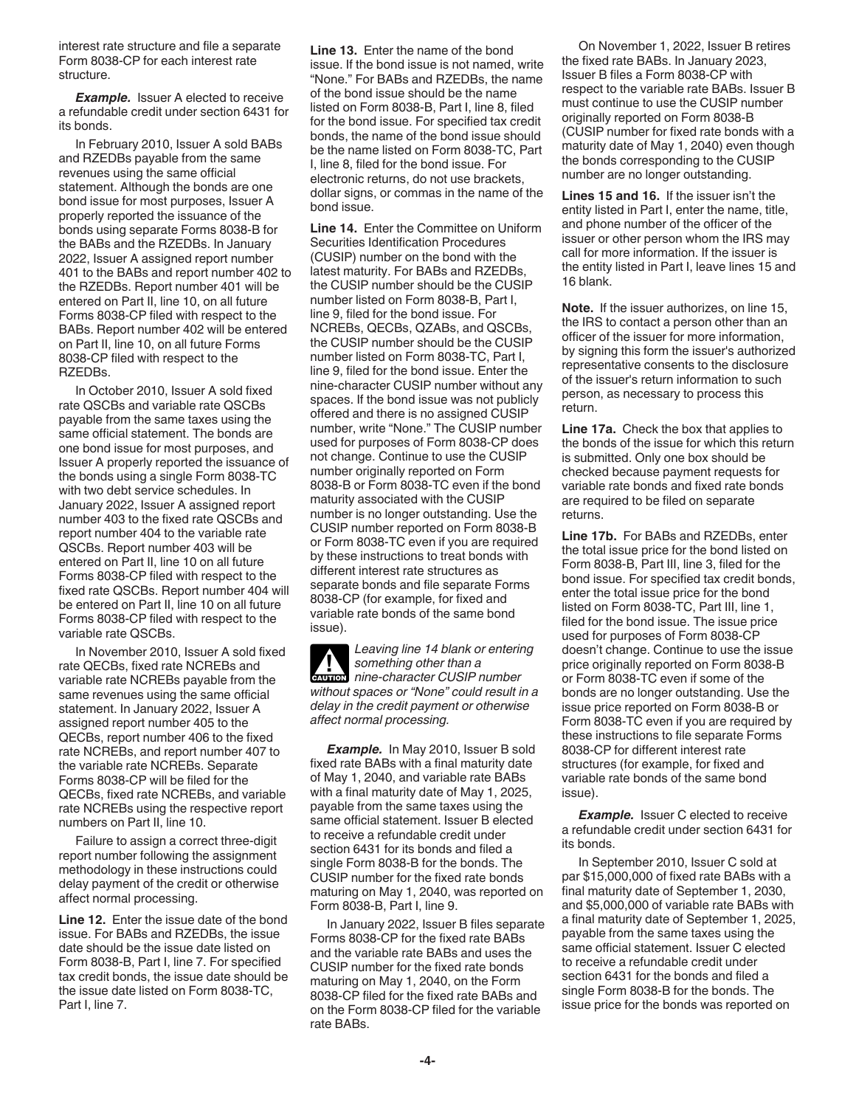interest rate structure and file a separate Form 8038-CP for each interest rate structure.

**Example.** Issuer A elected to receive a refundable credit under section 6431 for its bonds.

In February 2010, Issuer A sold BABs and RZEDBs payable from the same revenues using the same official statement. Although the bonds are one bond issue for most purposes, Issuer A properly reported the issuance of the bonds using separate Forms 8038-B for the BABs and the RZEDBs. In January 2022, Issuer A assigned report number 401 to the BABs and report number 402 to the RZEDBs. Report number 401 will be entered on Part II, line 10, on all future Forms 8038-CP filed with respect to the BABs. Report number 402 will be entered on Part II, line 10, on all future Forms 8038-CP filed with respect to the RZEDBs.

In October 2010, Issuer A sold fixed rate QSCBs and variable rate QSCBs payable from the same taxes using the same official statement. The bonds are one bond issue for most purposes, and Issuer A properly reported the issuance of the bonds using a single Form 8038-TC with two debt service schedules. In January 2022, Issuer A assigned report number 403 to the fixed rate QSCBs and report number 404 to the variable rate QSCBs. Report number 403 will be entered on Part II, line 10 on all future Forms 8038-CP filed with respect to the fixed rate QSCBs. Report number 404 will be entered on Part II, line 10 on all future Forms 8038-CP filed with respect to the variable rate QSCBs.

In November 2010, Issuer A sold fixed rate QECBs, fixed rate NCREBs and variable rate NCREBs payable from the same revenues using the same official statement. In January 2022, Issuer A assigned report number 405 to the QECBs, report number 406 to the fixed rate NCREBs, and report number 407 to the variable rate NCREBs. Separate Forms 8038-CP will be filed for the QECBs, fixed rate NCREBs, and variable rate NCREBs using the respective report numbers on Part II, line 10.

Failure to assign a correct three-digit report number following the assignment methodology in these instructions could delay payment of the credit or otherwise affect normal processing.

**Line 12.** Enter the issue date of the bond issue. For BABs and RZEDBs, the issue date should be the issue date listed on Form 8038-B, Part I, line 7. For specified tax credit bonds, the issue date should be the issue date listed on Form 8038-TC, Part I, line 7.

**Line 13.** Enter the name of the bond issue. If the bond issue is not named, write "None." For BABs and RZEDBs, the name of the bond issue should be the name listed on Form 8038-B, Part I, line 8, filed for the bond issue. For specified tax credit bonds, the name of the bond issue should be the name listed on Form 8038-TC, Part I, line 8, filed for the bond issue. For electronic returns, do not use brackets, dollar signs, or commas in the name of the bond issue.

**Line 14.** Enter the Committee on Uniform Securities Identification Procedures (CUSIP) number on the bond with the latest maturity. For BABs and RZEDBs, the CUSIP number should be the CUSIP number listed on Form 8038-B, Part I, line 9, filed for the bond issue. For NCREBs, QECBs, QZABs, and QSCBs, the CUSIP number should be the CUSIP number listed on Form 8038-TC, Part I, line 9, filed for the bond issue. Enter the nine-character CUSIP number without any spaces. If the bond issue was not publicly offered and there is no assigned CUSIP number, write "None." The CUSIP number used for purposes of Form 8038-CP does not change. Continue to use the CUSIP number originally reported on Form 8038-B or Form 8038-TC even if the bond maturity associated with the CUSIP number is no longer outstanding. Use the CUSIP number reported on Form 8038-B or Form 8038-TC even if you are required by these instructions to treat bonds with different interest rate structures as separate bonds and file separate Forms 8038-CP (for example, for fixed and variable rate bonds of the same bond issue).

*Leaving line 14 blank or entering something other than a*  **caution** nine-character CUSIP number *without spaces or "None" could result in a delay in the credit payment or otherwise affect normal processing.*

**Example.** In May 2010, Issuer B sold fixed rate BABs with a final maturity date of May 1, 2040, and variable rate BABs with a final maturity date of May 1, 2025, payable from the same taxes using the same official statement. Issuer B elected to receive a refundable credit under section 6431 for its bonds and filed a single Form 8038-B for the bonds. The CUSIP number for the fixed rate bonds maturing on May 1, 2040, was reported on Form 8038-B, Part I, line 9.

In January 2022, Issuer B files separate Forms 8038-CP for the fixed rate BABs and the variable rate BABs and uses the CUSIP number for the fixed rate bonds maturing on May 1, 2040, on the Form 8038-CP filed for the fixed rate BABs and on the Form 8038-CP filed for the variable rate BABs.

On November 1, 2022, Issuer B retires the fixed rate BABs. In January 2023, Issuer B files a Form 8038-CP with respect to the variable rate BABs. Issuer B must continue to use the CUSIP number originally reported on Form 8038-B (CUSIP number for fixed rate bonds with a maturity date of May 1, 2040) even though the bonds corresponding to the CUSIP number are no longer outstanding.

**Lines 15 and 16.** If the issuer isn't the entity listed in Part I, enter the name, title, and phone number of the officer of the issuer or other person whom the IRS may call for more information. If the issuer is the entity listed in Part I, leave lines 15 and 16 blank.

**Note.** If the issuer authorizes, on line 15, the IRS to contact a person other than an officer of the issuer for more information, by signing this form the issuer's authorized representative consents to the disclosure of the issuer's return information to such person, as necessary to process this return.

**Line 17a.** Check the box that applies to the bonds of the issue for which this return is submitted. Only one box should be checked because payment requests for variable rate bonds and fixed rate bonds are required to be filed on separate returns.

**Line 17b.** For BABs and RZEDBs, enter the total issue price for the bond listed on Form 8038-B, Part III, line 3, filed for the bond issue. For specified tax credit bonds, enter the total issue price for the bond listed on Form 8038-TC, Part III, line 1, filed for the bond issue. The issue price used for purposes of Form 8038-CP doesn't change. Continue to use the issue price originally reported on Form 8038-B or Form 8038-TC even if some of the bonds are no longer outstanding. Use the issue price reported on Form 8038-B or Form 8038-TC even if you are required by these instructions to file separate Forms 8038-CP for different interest rate structures (for example, for fixed and variable rate bonds of the same bond issue).

**Example.** Issuer C elected to receive a refundable credit under section 6431 for its bonds.

In September 2010, Issuer C sold at par \$15,000,000 of fixed rate BABs with a final maturity date of September 1, 2030, and \$5,000,000 of variable rate BABs with a final maturity date of September 1, 2025, payable from the same taxes using the same official statement. Issuer C elected to receive a refundable credit under section 6431 for the bonds and filed a single Form 8038-B for the bonds. The issue price for the bonds was reported on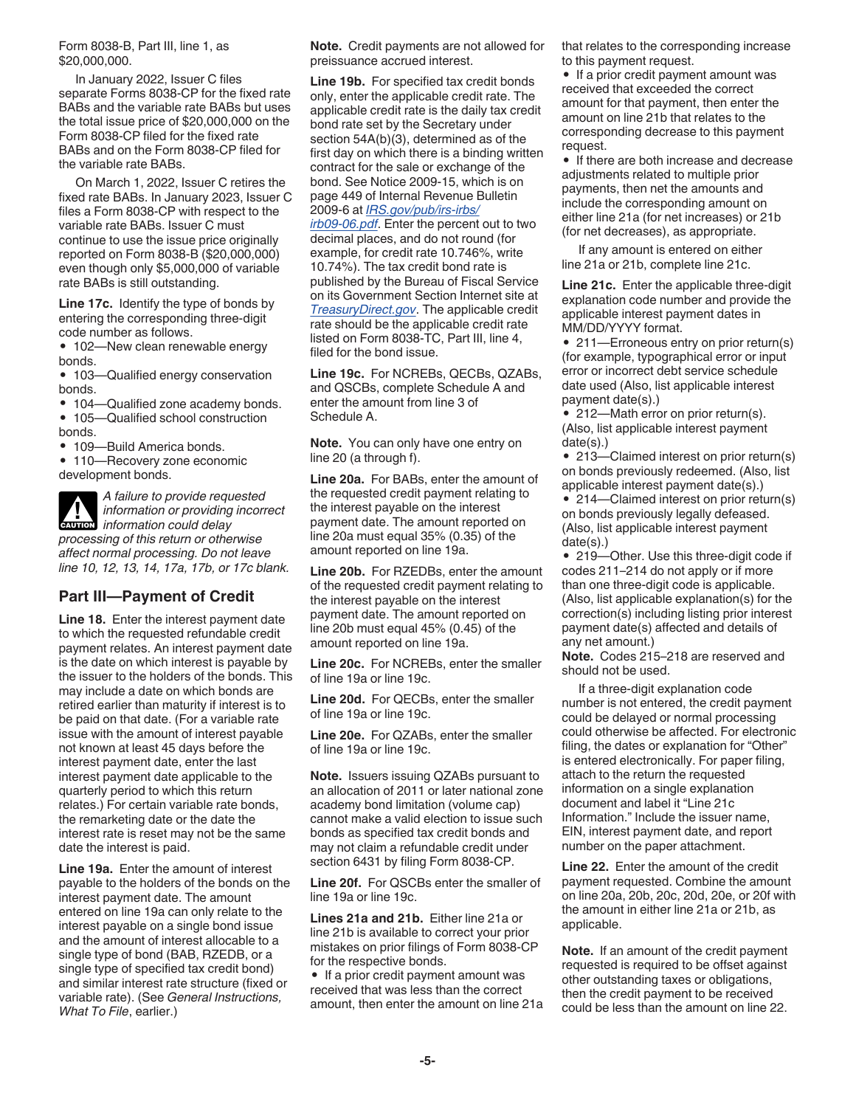Form 8038-B, Part III, line 1, as \$20,000,000.

In January 2022, Issuer C files separate Forms 8038-CP for the fixed rate BABs and the variable rate BABs but uses the total issue price of \$20,000,000 on the Form 8038-CP filed for the fixed rate BABs and on the Form 8038-CP filed for the variable rate BABs.

On March 1, 2022, Issuer C retires the fixed rate BABs. In January 2023, Issuer C files a Form 8038-CP with respect to the variable rate BABs. Issuer C must continue to use the issue price originally reported on Form 8038-B (\$20,000,000) even though only \$5,000,000 of variable rate BABs is still outstanding.

**Line 17c.** Identify the type of bonds by entering the corresponding three-digit code number as follows.

• 102-New clean renewable energy bonds.

• 103—Qualified energy conservation bonds.

- 104—Qualified zone academy bonds. • 105—Qualified school construction
- bonds.

• 109—Build America bonds.

• 110—Recovery zone economic development bonds.

*A failure to provide requested information or providing incorrect*  **CAUTION** *information or providing*<br> *information could delay processing of this return or otherwise affect normal processing. Do not leave line 10, 12, 13, 14, 17a, 17b, or 17c blank.*

### **Part III—Payment of Credit**

**Line 18.** Enter the interest payment date to which the requested refundable credit payment relates. An interest payment date is the date on which interest is payable by the issuer to the holders of the bonds. This may include a date on which bonds are retired earlier than maturity if interest is to be paid on that date. (For a variable rate issue with the amount of interest payable not known at least 45 days before the interest payment date, enter the last interest payment date applicable to the quarterly period to which this return relates.) For certain variable rate bonds, the remarketing date or the date the interest rate is reset may not be the same date the interest is paid.

**Line 19a.** Enter the amount of interest payable to the holders of the bonds on the interest payment date. The amount entered on line 19a can only relate to the interest payable on a single bond issue and the amount of interest allocable to a single type of bond (BAB, RZEDB, or a single type of specified tax credit bond) and similar interest rate structure (fixed or variable rate). (See *General Instructions, What To File*, earlier.)

**Note.** Credit payments are not allowed for preissuance accrued interest.

**Line 19b.** For specified tax credit bonds only, enter the applicable credit rate. The applicable credit rate is the daily tax credit bond rate set by the Secretary under section 54A(b)(3), determined as of the first day on which there is a binding written contract for the sale or exchange of the bond. See Notice 2009-15, which is on page 449 of Internal Revenue Bulletin 2009-6 at *[IRS.gov/pub/irs-irbs/](https://www.irs.gov/pub/irs-irbs/irb09-06.pdf) [irb09-06.pdf](https://www.irs.gov/pub/irs-irbs/irb09-06.pdf)*. Enter the percent out to two decimal places, and do not round (for example, for credit rate 10.746%, write 10.74%). The tax credit bond rate is published by the Bureau of Fiscal Service on its Government Section Internet site at *[TreasuryDirect.gov](https://treasurydirect.gov/)*. The applicable credit rate should be the applicable credit rate listed on Form 8038-TC, Part III, line 4, filed for the bond issue.

**Line 19c.** For NCREBs, QECBs, QZABs, and QSCBs, complete Schedule A and enter the amount from line 3 of Schedule A.

**Note.** You can only have one entry on line 20 (a through f).

**Line 20a.** For BABs, enter the amount of the requested credit payment relating to the interest payable on the interest payment date. The amount reported on line 20a must equal 35% (0.35) of the amount reported on line 19a.

**Line 20b.** For RZEDBs, enter the amount of the requested credit payment relating to the interest payable on the interest payment date. The amount reported on line 20b must equal 45% (0.45) of the amount reported on line 19a.

**Line 20c.** For NCREBs, enter the smaller of line 19a or line 19c.

**Line 20d.** For QECBs, enter the smaller of line 19a or line 19c.

**Line 20e.** For QZABs, enter the smaller of line 19a or line 19c.

**Note.** Issuers issuing QZABs pursuant to an allocation of 2011 or later national zone academy bond limitation (volume cap) cannot make a valid election to issue such bonds as specified tax credit bonds and may not claim a refundable credit under section 6431 by filing Form 8038-CP.

**Line 20f.** For QSCBs enter the smaller of line 19a or line 19c.

**Lines 21a and 21b.** Either line 21a or line 21b is available to correct your prior mistakes on prior filings of Form 8038-CP for the respective bonds.

• If a prior credit payment amount was received that was less than the correct amount, then enter the amount on line 21a that relates to the corresponding increase to this payment request.

• If a prior credit payment amount was received that exceeded the correct amount for that payment, then enter the amount on line 21b that relates to the corresponding decrease to this payment request.

• If there are both increase and decrease adjustments related to multiple prior payments, then net the amounts and include the corresponding amount on either line 21a (for net increases) or 21b (for net decreases), as appropriate.

If any amount is entered on either line 21a or 21b, complete line 21c.

**Line 21c.** Enter the applicable three-digit explanation code number and provide the applicable interest payment dates in MM/DD/YYYY format.

• 211—Erroneous entry on prior return(s) (for example, typographical error or input error or incorrect debt service schedule date used (Also, list applicable interest payment date(s).)

• 212-Math error on prior return(s). (Also, list applicable interest payment date(s).)

• 213—Claimed interest on prior return(s) on bonds previously redeemed. (Also, list applicable interest payment date(s).)

• 214-Claimed interest on prior return(s) on bonds previously legally defeased. (Also, list applicable interest payment date(s).)

• 219—Other. Use this three-digit code if codes 211–214 do not apply or if more than one three-digit code is applicable. (Also, list applicable explanation(s) for the correction(s) including listing prior interest payment date(s) affected and details of any net amount.)

**Note.** Codes 215–218 are reserved and should not be used.

If a three-digit explanation code number is not entered, the credit payment could be delayed or normal processing could otherwise be affected. For electronic filing, the dates or explanation for "Other" is entered electronically. For paper filing, attach to the return the requested information on a single explanation document and label it "Line 21c Information." Include the issuer name, EIN, interest payment date, and report number on the paper attachment.

**Line 22.** Enter the amount of the credit payment requested. Combine the amount on line 20a, 20b, 20c, 20d, 20e, or 20f with the amount in either line 21a or 21b, as applicable.

**Note.** If an amount of the credit payment requested is required to be offset against other outstanding taxes or obligations, then the credit payment to be received could be less than the amount on line 22.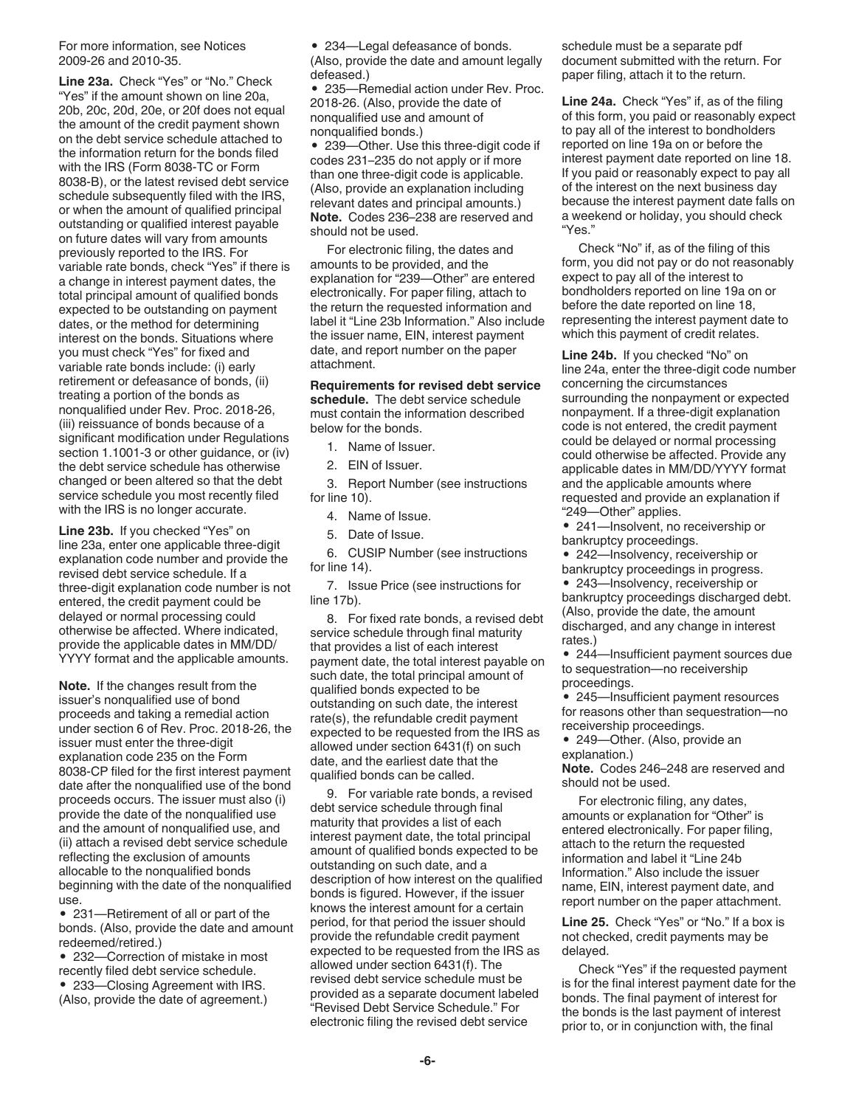For more information, see Notices 2009-26 and 2010-35.

**Line 23a.** Check "Yes" or "No." Check "Yes" if the amount shown on line 20a, 20b, 20c, 20d, 20e, or 20f does not equal the amount of the credit payment shown on the debt service schedule attached to the information return for the bonds filed with the IRS (Form 8038-TC or Form 8038-B), or the latest revised debt service schedule subsequently filed with the IRS, or when the amount of qualified principal outstanding or qualified interest payable on future dates will vary from amounts previously reported to the IRS. For variable rate bonds, check "Yes" if there is a change in interest payment dates, the total principal amount of qualified bonds expected to be outstanding on payment dates, or the method for determining interest on the bonds. Situations where you must check "Yes" for fixed and variable rate bonds include: (i) early retirement or defeasance of bonds, (ii) treating a portion of the bonds as nonqualified under Rev. Proc. 2018-26, (iii) reissuance of bonds because of a significant modification under Regulations section 1.1001-3 or other guidance, or (iv) the debt service schedule has otherwise changed or been altered so that the debt service schedule you most recently filed with the IRS is no longer accurate.

**Line 23b.** If you checked "Yes" on line 23a, enter one applicable three-digit explanation code number and provide the revised debt service schedule. If a three-digit explanation code number is not entered, the credit payment could be delayed or normal processing could otherwise be affected. Where indicated, provide the applicable dates in MM/DD/ YYYY format and the applicable amounts.

**Note.** If the changes result from the issuer's nonqualified use of bond proceeds and taking a remedial action under section 6 of Rev. Proc. 2018-26, the issuer must enter the three-digit explanation code 235 on the Form 8038-CP filed for the first interest payment date after the nonqualified use of the bond proceeds occurs. The issuer must also (i) provide the date of the nonqualified use and the amount of nonqualified use, and (ii) attach a revised debt service schedule reflecting the exclusion of amounts allocable to the nonqualified bonds beginning with the date of the nonqualified use.

• 231—Retirement of all or part of the bonds. (Also, provide the date and amount redeemed/retired.)

• 232—Correction of mistake in most recently filed debt service schedule.

• 233—Closing Agreement with IRS. (Also, provide the date of agreement.) • 234—Legal defeasance of bonds.

(Also, provide the date and amount legally defeased.)

• 235—Remedial action under Rev. Proc. 2018-26. (Also, provide the date of nonqualified use and amount of nonqualified bonds.)

• 239—Other. Use this three-digit code if codes 231–235 do not apply or if more than one three-digit code is applicable. (Also, provide an explanation including relevant dates and principal amounts.) **Note.** Codes 236–238 are reserved and should not be used.

For electronic filing, the dates and amounts to be provided, and the explanation for "239—Other" are entered electronically. For paper filing, attach to the return the requested information and label it "Line 23b Information." Also include the issuer name, EIN, interest payment date, and report number on the paper attachment.

**Requirements for revised debt service schedule.** The debt service schedule must contain the information described below for the bonds.

1. Name of Issuer.

2. EIN of Issuer.

3. Report Number (see instructions for line 10).

4. Name of Issue.

5. Date of Issue.

6. CUSIP Number (see instructions for line 14).

7. Issue Price (see instructions for line 17b).

8. For fixed rate bonds, a revised debt service schedule through final maturity that provides a list of each interest payment date, the total interest payable on such date, the total principal amount of qualified bonds expected to be outstanding on such date, the interest rate(s), the refundable credit payment expected to be requested from the IRS as allowed under section 6431(f) on such date, and the earliest date that the qualified bonds can be called.

9. For variable rate bonds, a revised debt service schedule through final maturity that provides a list of each interest payment date, the total principal amount of qualified bonds expected to be outstanding on such date, and a description of how interest on the qualified bonds is figured. However, if the issuer knows the interest amount for a certain period, for that period the issuer should provide the refundable credit payment expected to be requested from the IRS as allowed under section 6431(f). The revised debt service schedule must be provided as a separate document labeled "Revised Debt Service Schedule." For electronic filing the revised debt service

schedule must be a separate pdf document submitted with the return. For paper filing, attach it to the return.

**Line 24a.** Check "Yes" if, as of the filing of this form, you paid or reasonably expect to pay all of the interest to bondholders reported on line 19a on or before the interest payment date reported on line 18. If you paid or reasonably expect to pay all of the interest on the next business day because the interest payment date falls on a weekend or holiday, you should check "Yes."

Check "No" if, as of the filing of this form, you did not pay or do not reasonably expect to pay all of the interest to bondholders reported on line 19a on or before the date reported on line 18, representing the interest payment date to which this payment of credit relates.

**Line 24b.** If you checked "No" on line 24a, enter the three-digit code number concerning the circumstances surrounding the nonpayment or expected nonpayment. If a three-digit explanation code is not entered, the credit payment could be delayed or normal processing could otherwise be affected. Provide any applicable dates in MM/DD/YYYY format and the applicable amounts where requested and provide an explanation if "249—Other" applies.

• 241—Insolvent, no receivership or bankruptcy proceedings.

• 242—Insolvency, receivership or

bankruptcy proceedings in progress. • 243—Insolvency, receivership or

bankruptcy proceedings discharged debt. (Also, provide the date, the amount discharged, and any change in interest rates.)

• 244—Insufficient payment sources due to sequestration—no receivership proceedings.

• 245-Insufficient payment resources for reasons other than sequestration—no receivership proceedings.

• 249—Other. (Also, provide an explanation.)

**Note.** Codes 246–248 are reserved and should not be used.

For electronic filing, any dates, amounts or explanation for "Other" is entered electronically. For paper filing, attach to the return the requested information and label it "Line 24b Information." Also include the issuer name, EIN, interest payment date, and report number on the paper attachment.

**Line 25.** Check "Yes" or "No." If a box is not checked, credit payments may be delayed.

Check "Yes" if the requested payment is for the final interest payment date for the bonds. The final payment of interest for the bonds is the last payment of interest prior to, or in conjunction with, the final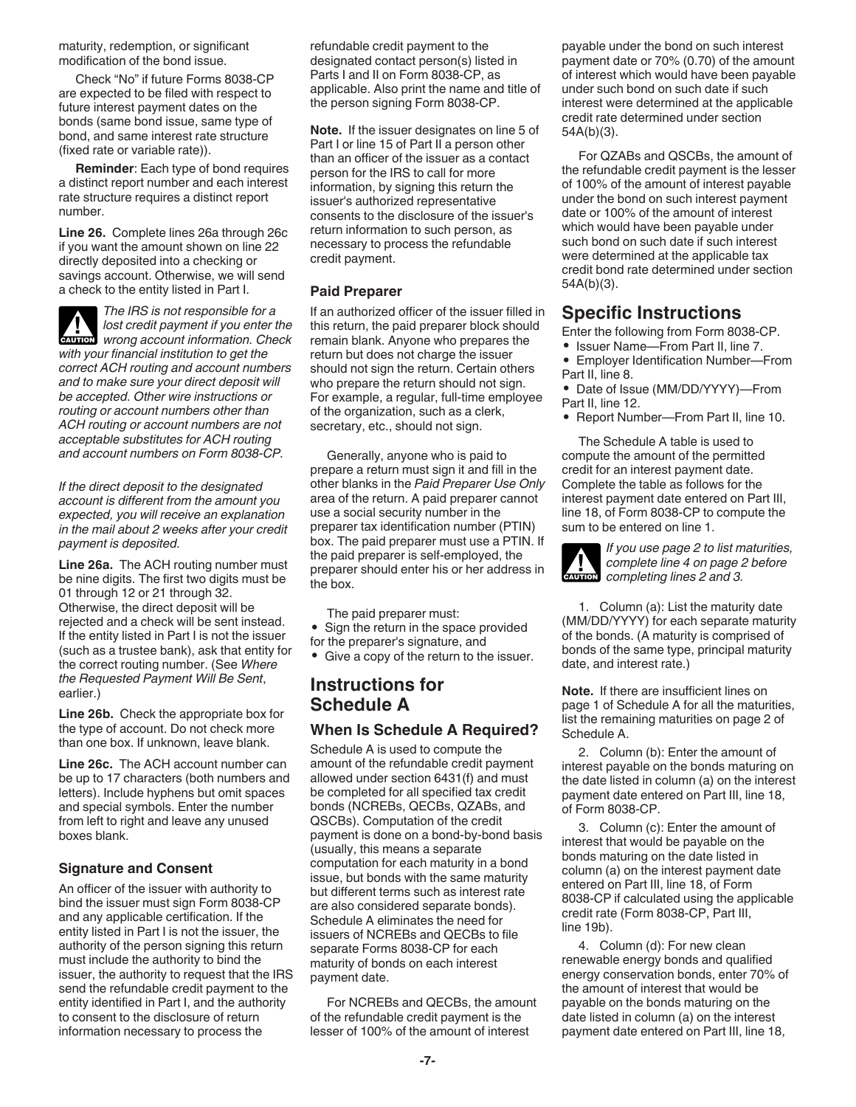maturity, redemption, or significant modification of the bond issue.

Check "No" if future Forms 8038-CP are expected to be filed with respect to future interest payment dates on the bonds (same bond issue, same type of bond, and same interest rate structure (fixed rate or variable rate)).

**Reminder**: Each type of bond requires a distinct report number and each interest rate structure requires a distinct report number.

**Line 26.** Complete lines 26a through 26c if you want the amount shown on line 22 directly deposited into a checking or savings account. Otherwise, we will send a check to the entity listed in Part I.



*The IRS is not responsible for a lost credit payment if you enter the wrong account information. Check with your financial institution to get the correct ACH routing and account numbers and to make sure your direct deposit will be accepted. Other wire instructions or routing or account numbers other than ACH routing or account numbers are not acceptable substitutes for ACH routing and account numbers on Form 8038-CP.* **CAUTION !**

*If the direct deposit to the designated account is different from the amount you expected, you will receive an explanation in the mail about 2 weeks after your credit payment is deposited.*

**Line 26a.** The ACH routing number must be nine digits. The first two digits must be 01 through 12 or 21 through 32. Otherwise, the direct deposit will be rejected and a check will be sent instead. If the entity listed in Part I is not the issuer (such as a trustee bank), ask that entity for the correct routing number. (See *Where the Requested Payment Will Be Sent*, earlier.)

**Line 26b.** Check the appropriate box for the type of account. Do not check more than one box. If unknown, leave blank.

**Line 26c.** The ACH account number can be up to 17 characters (both numbers and letters). Include hyphens but omit spaces and special symbols. Enter the number from left to right and leave any unused boxes blank.

#### **Signature and Consent**

An officer of the issuer with authority to bind the issuer must sign Form 8038-CP and any applicable certification. If the entity listed in Part I is not the issuer, the authority of the person signing this return must include the authority to bind the issuer, the authority to request that the IRS send the refundable credit payment to the entity identified in Part I, and the authority to consent to the disclosure of return information necessary to process the

refundable credit payment to the designated contact person(s) listed in Parts I and II on Form 8038-CP, as applicable. Also print the name and title of the person signing Form 8038-CP.

**Note.** If the issuer designates on line 5 of Part I or line 15 of Part II a person other than an officer of the issuer as a contact person for the IRS to call for more information, by signing this return the issuer's authorized representative consents to the disclosure of the issuer's return information to such person, as necessary to process the refundable credit payment.

#### **Paid Preparer**

If an authorized officer of the issuer filled in this return, the paid preparer block should remain blank. Anyone who prepares the return but does not charge the issuer should not sign the return. Certain others who prepare the return should not sign. For example, a regular, full-time employee of the organization, such as a clerk, secretary, etc., should not sign.

Generally, anyone who is paid to prepare a return must sign it and fill in the other blanks in the *Paid Preparer Use Only*  area of the return. A paid preparer cannot use a social security number in the preparer tax identification number (PTIN) box. The paid preparer must use a PTIN. If the paid preparer is self-employed, the preparer should enter his or her address in the box.

The paid preparer must:

- Sign the return in the space provided
- for the preparer's signature, and
- Give a copy of the return to the issuer.

### **Instructions for Schedule A**

### **When Is Schedule A Required?**

Schedule A is used to compute the amount of the refundable credit payment allowed under section 6431(f) and must be completed for all specified tax credit bonds (NCREBs, QECBs, QZABs, and QSCBs). Computation of the credit payment is done on a bond-by-bond basis (usually, this means a separate computation for each maturity in a bond issue, but bonds with the same maturity but different terms such as interest rate are also considered separate bonds). Schedule A eliminates the need for issuers of NCREBs and QECBs to file separate Forms 8038-CP for each maturity of bonds on each interest payment date.

For NCREBs and QECBs, the amount of the refundable credit payment is the lesser of 100% of the amount of interest

payable under the bond on such interest payment date or 70% (0.70) of the amount of interest which would have been payable under such bond on such date if such interest were determined at the applicable credit rate determined under section 54A(b)(3).

For QZABs and QSCBs, the amount of the refundable credit payment is the lesser of 100% of the amount of interest payable under the bond on such interest payment date or 100% of the amount of interest which would have been payable under such bond on such date if such interest were determined at the applicable tax credit bond rate determined under section 54A(b)(3).

### **Specific Instructions**

Enter the following from Form 8038-CP.

- Issuer Name—From Part II, line 7.
- Employer Identification Number—From Part II, line 8.
- Date of Issue (MM/DD/YYYY)—From Part II, line 12.
- Report Number—From Part II, line 10.

The Schedule A table is used to compute the amount of the permitted credit for an interest payment date. Complete the table as follows for the interest payment date entered on Part III, line 18, of Form 8038-CP to compute the sum to be entered on line 1.

*If you use page 2 to list maturities, complete line 4 on page 2 before completing lines 2 and 3.* **CAUTION !**

1. Column (a): List the maturity date (MM/DD/YYYY) for each separate maturity of the bonds. (A maturity is comprised of bonds of the same type, principal maturity date, and interest rate.)

**Note.** If there are insufficient lines on page 1 of Schedule A for all the maturities, list the remaining maturities on page 2 of Schedule A.

2. Column (b): Enter the amount of interest payable on the bonds maturing on the date listed in column (a) on the interest payment date entered on Part III, line 18, of Form 8038-CP.

3. Column (c): Enter the amount of interest that would be payable on the bonds maturing on the date listed in column (a) on the interest payment date entered on Part III, line 18, of Form 8038-CP if calculated using the applicable credit rate (Form 8038-CP, Part III, line 19b).

4. Column (d): For new clean renewable energy bonds and qualified energy conservation bonds, enter 70% of the amount of interest that would be payable on the bonds maturing on the date listed in column (a) on the interest payment date entered on Part III, line 18,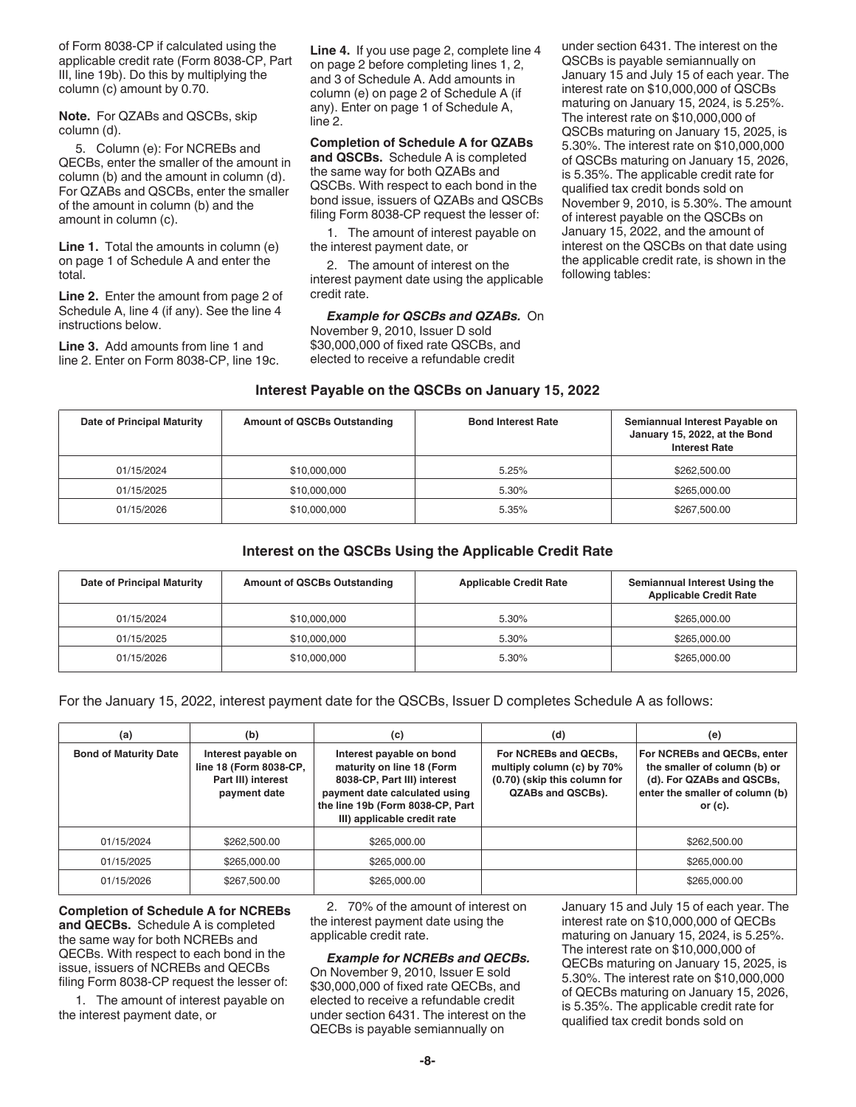of Form 8038-CP if calculated using the applicable credit rate (Form 8038-CP, Part III, line 19b). Do this by multiplying the column (c) amount by 0.70.

**Note.** For QZABs and QSCBs, skip column (d).

5. Column (e): For NCREBs and QECBs, enter the smaller of the amount in column (b) and the amount in column (d). For QZABs and QSCBs, enter the smaller of the amount in column (b) and the amount in column (c).

**Line 1.** Total the amounts in column (e) on page 1 of Schedule A and enter the total.

**Line 2.** Enter the amount from page 2 of Schedule A, line 4 (if any). See the line 4 instructions below.

**Line 3.** Add amounts from line 1 and line 2. Enter on Form 8038-CP, line 19c.

**Line 4.** If you use page 2, complete line 4 on page 2 before completing lines 1, 2, and 3 of Schedule A. Add amounts in column (e) on page 2 of Schedule A (if any). Enter on page 1 of Schedule A, line 2.

**Completion of Schedule A for QZABs and QSCBs.** Schedule A is completed the same way for both QZABs and QSCBs. With respect to each bond in the bond issue, issuers of QZABs and QSCBs filing Form 8038-CP request the lesser of:

1. The amount of interest payable on the interest payment date, or

2. The amount of interest on the interest payment date using the applicable credit rate.

*Example for QSCBs and QZABs.* On November 9, 2010, Issuer D sold \$30,000,000 of fixed rate QSCBs, and elected to receive a refundable credit

under section 6431. The interest on the QSCBs is payable semiannually on January 15 and July 15 of each year. The interest rate on \$10,000,000 of QSCBs maturing on January 15, 2024, is 5.25%. The interest rate on \$10,000,000 of QSCBs maturing on January 15, 2025, is 5.30%. The interest rate on \$10,000,000 of QSCBs maturing on January 15, 2026, is 5.35%. The applicable credit rate for qualified tax credit bonds sold on November 9, 2010, is 5.30%. The amount of interest payable on the QSCBs on January 15, 2022, and the amount of interest on the QSCBs on that date using the applicable credit rate, is shown in the following tables:

#### **Interest Payable on the QSCBs on January 15, 2022**

| Date of Principal Maturity | <b>Amount of QSCBs Outstanding</b> | <b>Bond Interest Rate</b> | Semiannual Interest Payable on<br>January 15, 2022, at the Bond<br><b>Interest Rate</b> |
|----------------------------|------------------------------------|---------------------------|-----------------------------------------------------------------------------------------|
| 01/15/2024                 | \$10,000,000                       | 5.25%                     | \$262,500.00                                                                            |
| 01/15/2025                 | \$10,000,000                       | 5.30%                     | \$265,000.00                                                                            |
| 01/15/2026                 | \$10,000,000                       | 5.35%                     | \$267,500.00                                                                            |

#### **Interest on the QSCBs Using the Applicable Credit Rate**

| Date of Principal Maturity | <b>Amount of QSCBs Outstanding</b> | <b>Applicable Credit Rate</b> | Semiannual Interest Using the<br><b>Applicable Credit Rate</b> |
|----------------------------|------------------------------------|-------------------------------|----------------------------------------------------------------|
| 01/15/2024                 | \$10,000,000                       | 5.30%                         | \$265,000.00                                                   |
| 01/15/2025                 | \$10,000,000                       | 5.30%                         | \$265,000.00                                                   |
| 01/15/2026                 | \$10,000,000                       | 5.30%                         | \$265,000.00                                                   |

For the January 15, 2022, interest payment date for the QSCBs, Issuer D completes Schedule A as follows:

| (a)                          | (b)                                                                                 | (c)                                                                                                                                                                                      | (d)                                                                                                      | (e)                                                                                                                                       |
|------------------------------|-------------------------------------------------------------------------------------|------------------------------------------------------------------------------------------------------------------------------------------------------------------------------------------|----------------------------------------------------------------------------------------------------------|-------------------------------------------------------------------------------------------------------------------------------------------|
| <b>Bond of Maturity Date</b> | Interest payable on<br>line 18 (Form 8038-CP,<br>Part III) interest<br>payment date | Interest payable on bond<br>maturity on line 18 (Form<br>8038-CP, Part III) interest<br>payment date calculated using<br>the line 19b (Form 8038-CP, Part<br>III) applicable credit rate | For NCREBs and QECBs.<br>multiply column (c) by 70%<br>(0.70) (skip this column for<br>QZABs and QSCBs). | For NCREBs and QECBs, enter<br>the smaller of column (b) or<br>(d). For QZABs and QSCBs,<br>enter the smaller of column (b)<br>or $(c)$ . |
| 01/15/2024                   | \$262,500.00                                                                        | \$265,000.00                                                                                                                                                                             |                                                                                                          | \$262,500.00                                                                                                                              |
| 01/15/2025                   | \$265,000,00                                                                        | \$265,000.00                                                                                                                                                                             |                                                                                                          | \$265,000.00                                                                                                                              |
| 01/15/2026                   | \$267,500.00                                                                        | \$265,000.00                                                                                                                                                                             |                                                                                                          | \$265,000.00                                                                                                                              |

**Completion of Schedule A for NCREBs and QECBs.** Schedule A is completed the same way for both NCREBs and QECBs. With respect to each bond in the issue, issuers of NCREBs and QECBs filing Form 8038-CP request the lesser of:

1. The amount of interest payable on the interest payment date, or

2. 70% of the amount of interest on the interest payment date using the applicable credit rate.

#### *Example for NCREBs and QECBs.*

On November 9, 2010, Issuer E sold \$30,000,000 of fixed rate QECBs, and elected to receive a refundable credit under section 6431. The interest on the QECBs is payable semiannually on

January 15 and July 15 of each year. The interest rate on \$10,000,000 of QECBs maturing on January 15, 2024, is 5.25%. The interest rate on \$10,000,000 of QECBs maturing on January 15, 2025, is 5.30%. The interest rate on \$10,000,000 of QECBs maturing on January 15, 2026, is 5.35%. The applicable credit rate for qualified tax credit bonds sold on